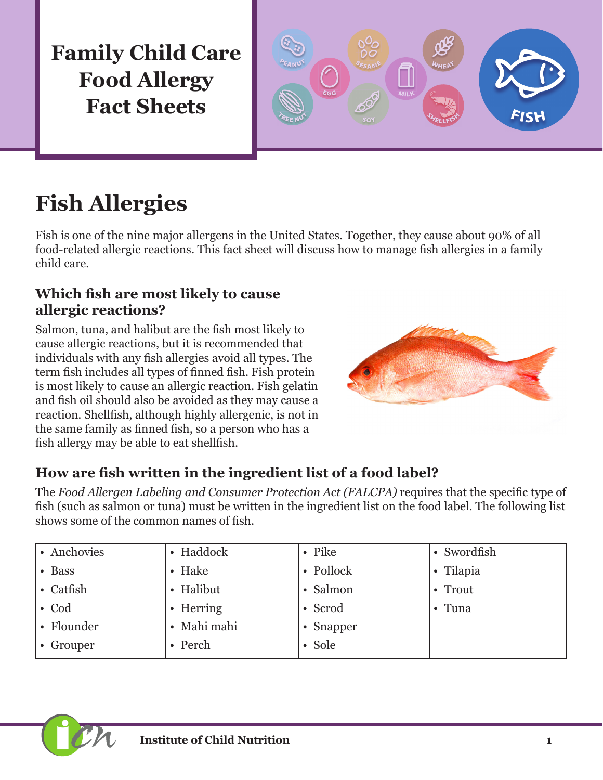**Family Child Care Food Allergy Fact Sheets**



# **Fish Allergies**

Fish is one of the nine major allergens in the United States. Together, they cause about 90% of all food-related allergic reactions. This fact sheet will discuss how to manage fish allergies in a family child care.

### **Which fish are most likely to cause allergic reactions?**

Salmon, tuna, and halibut are the fish most likely to cause allergic reactions, but it is recommended that individuals with any fish allergies avoid all types. The term fish includes all types of finned fish. Fish protein is most likely to cause an allergic reaction. Fish gelatin and fish oil should also be avoided as they may cause a reaction. Shellfish, although highly allergenic, is not in the same family as finned fish, so a person who has a fish allergy may be able to eat shellfish.



# **How are fish written in the ingredient list of a food label?**

The *Food Allergen Labeling and Consumer Protection Act (FALCPA)* requires that the specific type of fish (such as salmon or tuna) must be written in the ingredient list on the food label. The following list shows some of the common names of fish.

| • Anchovies   | • Haddock              | $\bullet$ Pike | • Swordfish |
|---------------|------------------------|----------------|-------------|
| • Bass        | • Hake                 | • Pollock      | • Tilapia   |
| • Catfish     | • Halibut              | • Salmon       | • Trout     |
| $\bullet$ Cod | • Herring              | • Scrod        | • Tuna      |
| • Flounder    | Mahi mahi<br>$\bullet$ | • Snapper      |             |
| • Grouper     | • Perch                | • Sole         |             |

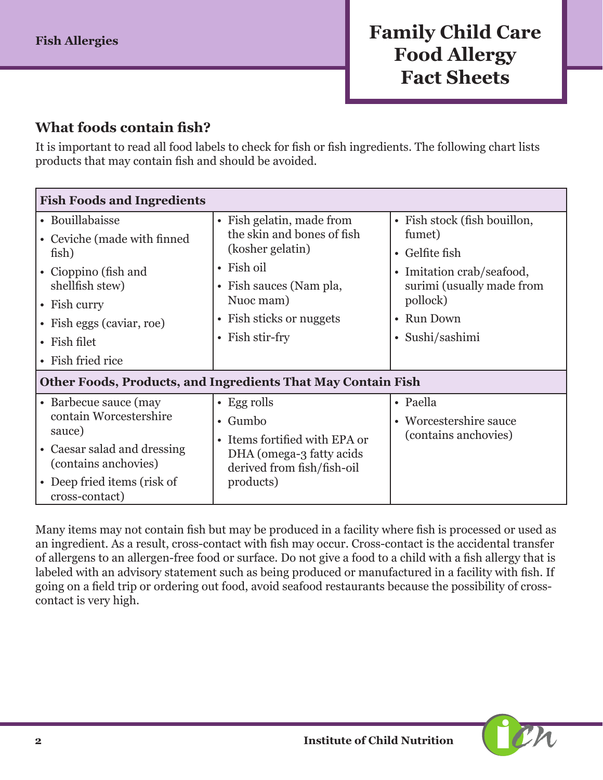### **What foods contain fish?**

It is important to read all food labels to check for fish or fish ingredients. The following chart lists products that may contain fish and should be avoided.

| <b>Fish Foods and Ingredients</b>                                                                                                                                                            |                                                                                                                                                                                          |                                                                                                                                                                 |  |  |
|----------------------------------------------------------------------------------------------------------------------------------------------------------------------------------------------|------------------------------------------------------------------------------------------------------------------------------------------------------------------------------------------|-----------------------------------------------------------------------------------------------------------------------------------------------------------------|--|--|
| • Bouillabaisse<br>• Ceviche (made with finned<br>fish)<br>• Cioppino (fish and<br>shellfish stew)<br>$\bullet$ Fish curry<br>• Fish eggs (caviar, roe)<br>• Fish filet<br>• Fish fried rice | • Fish gelatin, made from<br>the skin and bones of fish<br>(kosher gelatin)<br>$\bullet$ Fish oil<br>• Fish sauces (Nam pla,<br>Nuoc mam)<br>• Fish sticks or nuggets<br>• Fish stir-fry | • Fish stock (fish bouillon,<br>fumet)<br>• Gelfite fish<br>• Imitation crab/seafood,<br>surimi (usually made from<br>pollock)<br>• Run Down<br>• Sushi/sashimi |  |  |
| <b>Other Foods, Products, and Ingredients That May Contain Fish</b>                                                                                                                          |                                                                                                                                                                                          |                                                                                                                                                                 |  |  |
| • Barbecue sauce (may<br>contain Worcestershire<br>sauce)<br>• Caesar salad and dressing<br>(contains anchovies)<br>• Deep fried items (risk of<br>cross-contact)                            | $\cdot$ Egg rolls<br>$\bullet$ Gumbo<br>• Items fortified with EPA or<br>DHA (omega-3 fatty acids)<br>derived from fish/fish-oil<br>products)                                            | • Paella<br>• Worcestershire sauce<br>(contains anchovies)                                                                                                      |  |  |

Many items may not contain fish but may be produced in a facility where fish is processed or used as an ingredient. As a result, cross-contact with fish may occur. Cross-contact is the accidental transfer of allergens to an allergen-free food or surface. Do not give a food to a child with a fish allergy that is labeled with an advisory statement such as being produced or manufactured in a facility with fish. If going on a field trip or ordering out food, avoid seafood restaurants because the possibility of crosscontact is very high.

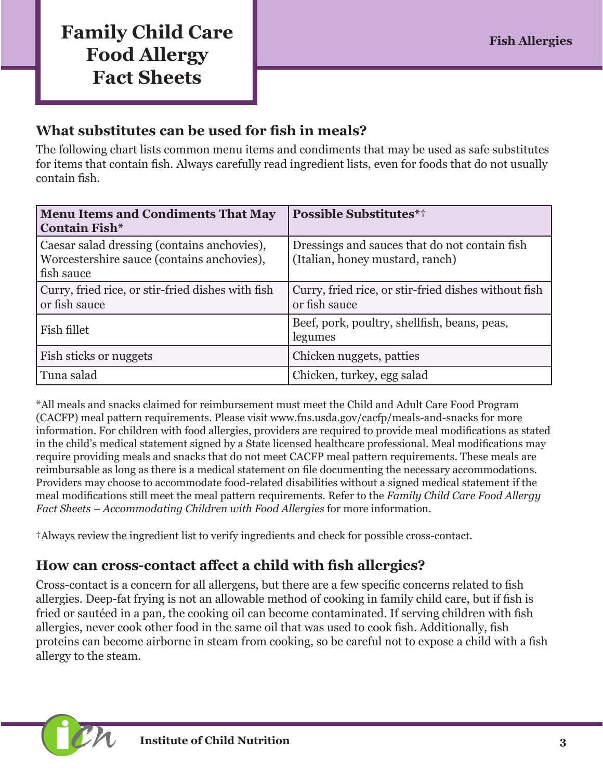# **Family Child Care Fish Allergies Food Allergy Fact Sheets**

### **What substitutes can be used for fish in meals?**

The following chart lists common menu items and condiments that may be used as safe substitutes for items that contain fish. Always carefully read ingredient lists, even for foods that do not usually contain fish.

| <b>Menu Items and Condiments That May</b><br><b>Contain Fish*</b>                                       | <b>Possible Substitutes*†</b>                                                    |
|---------------------------------------------------------------------------------------------------------|----------------------------------------------------------------------------------|
| Caesar salad dressing (contains anchovies),<br>Worcestershire sauce (contains anchovies),<br>fish sauce | Dressings and sauces that do not contain fish<br>(Italian, honey mustard, ranch) |
| Curry, fried rice, or stir-fried dishes with fish<br>or fish sauce                                      | Curry, fried rice, or stir-fried dishes without fish<br>or fish sauce            |
| Fish fillet                                                                                             | Beef, pork, poultry, shellfish, beans, peas,<br>legumes                          |
| Fish sticks or nuggets                                                                                  | Chicken nuggets, patties                                                         |
| Tuna salad                                                                                              | Chicken, turkey, egg salad                                                       |

\*All meals and snacks claimed for reimbursement must meet the Child and Adult Care Food Program (CACFP) meal pattern requirements. Please visit [www.fns.usda.gov/cacfp/meals-and-snacks](http://www.fns.usda.gov/cacfp/meals-and-snacks) for more information. For children with food allergies, providers are required to provide meal modifications as stated in the child's medical statement signed by a State licensed healthcare professional. Meal modifications may require providing meals and snacks that do not meet CACFP meal pattern requirements. These meals are reimbursable as long as there is a medical statement on file documenting the necessary accommodations. Providers may choose to accommodate food-related disabilities without a signed medical statement if the meal modifications still meet the meal pattern requirements. Refer to the *Family Child Care Food Allergy Fact Sheets – Accommodating Children with Food Allergies* for more information.

†Always review the ingredient list to verify ingredients and check for possible cross-contact.

## **How can cross-contact affect a child with fish allergies?**

Cross-contact is a concern for all allergens, but there are a few specific concerns related to fish allergies. Deep-fat frying is not an allowable method of cooking in family child care, but if fish is fried or sautéed in a pan, the cooking oil can become contaminated. If serving children with fish allergies, never cook other food in the same oil that was used to cook fish. Additionally, fish proteins can become airborne in steam from cooking, so be careful not to expose a child with a fish allergy to the steam.

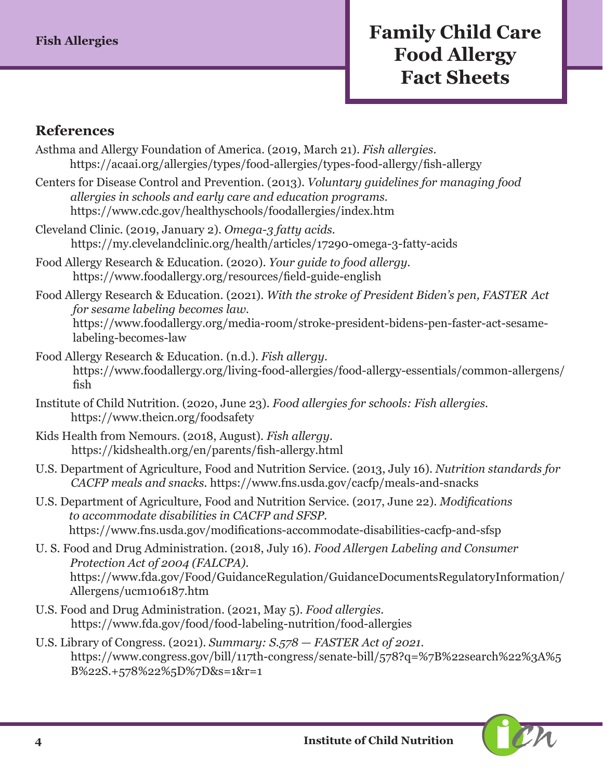# **Fish Allergies** *Family Child Care* **Food Allergy Fact Sheets**

#### **References**

- Asthma and Allergy Foundation of America. (2019, March 21). *Fish allergies.*  <https://acaai.org/allergies/types/food-allergies/types-food-allergy/fish-allergy>
- Centers for Disease Control and Prevention. (2013). *Voluntary guidelines for managing food allergies in schools and early care and education programs.* <https://www.cdc.gov/healthyschools/foodallergies/index.htm>
- Cleveland Clinic. (2019, January 2). *Omega-3 fatty acids.* <https://my.clevelandclinic.org/health/articles/17290-omega-3-fatty-acids>
- Food Allergy Research & Education. (2020). *Your guide to food allergy.*  <https://www.foodallergy.org/resources/field-guide-english>
- Food Allergy Research & Education. (2021). *With the stroke of President Biden's pen, FASTER Act for sesame labeling becomes law.* [https://www.foodallergy.org/media-room/stroke-president-bidens-pen-faster-act-sesame](https://www.foodallergy.org/media-room/stroke-president-bidens-pen-faster-act-sesame-labeling-becomes-law)[labeling-becomes-law](https://www.foodallergy.org/media-room/stroke-president-bidens-pen-faster-act-sesame-labeling-becomes-law)
- Food Allergy Research & Education. (n.d.). *Fish allergy.*  [https://www.foodallergy.org/living-food-allergies/food-allergy-essentials/common-allergens/](https://www.foodallergy.org/living-food-allergies/food-allergy-essentials/common-allergens/fish) [fish](https://www.foodallergy.org/living-food-allergies/food-allergy-essentials/common-allergens/fish)
- Institute of Child Nutrition. (2020, June 23). *Food allergies for schools: Fish allergies.* <https://www.theicn.org/foodsafety>
- Kids Health from Nemours. (2018, August). *Fish allergy.*  <https://kidshealth.org/en/parents/fish-allergy.html>
- U.S. Department of Agriculture, Food and Nutrition Service. (2013, July 16). *Nutrition standards for CACFP meals and snacks.* <https://www.fns.usda.gov/cacfp/meals-and-snacks>
- U.S. Department of Agriculture, Food and Nutrition Service. (2017, June 22). *Modifications to accommodate disabilities in CACFP and SFSP.* <https://www.fns.usda.gov/modifications-accommodate-disabilities-cacfp-and-sfsp>
- U. S. Food and Drug Administration. (2018, July 16). *Food Allergen Labeling and Consumer Protection Act of 2004 (FALCPA).* [https://www.fda.gov/Food/GuidanceRegulation/GuidanceDocumentsRegulatoryInformation/](https://www.fda.gov/Food/GuidanceRegulation/GuidanceDocumentsRegulatoryInformation/Allergens/ucm106187.htm) [Allergens/ucm106187.htm](https://www.fda.gov/Food/GuidanceRegulation/GuidanceDocumentsRegulatoryInformation/Allergens/ucm106187.htm)
- U.S. Food and Drug Administration. (2021, May 5). *Food allergies.*  <https://www.fda.gov/food/food-labeling-nutrition/food-allergies>
- U.S. Library of Congress. (2021). *Summary: S.578 FASTER Act of 2021.* [https://www.congress.gov/bill/117th-congress/senate-bill/578?q=%7B%22search%22%3A%5](https://www.congress.gov/bill/117th-congress/senate-bill/578?q=%7B%22search%22%3A%5B%22S.+578%22%5D%) [B%22S.+578%22%5D%7D&s=1&r=1](https://www.congress.gov/bill/117th-congress/senate-bill/578?q=%7B%22search%22%3A%5B%22S.+578%22%5D%)